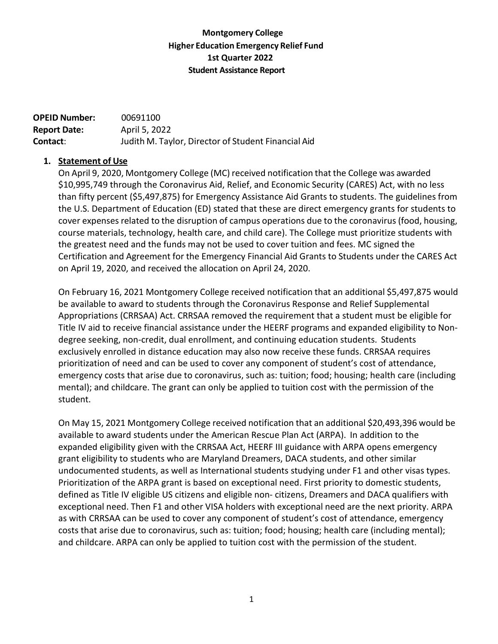## **Montgomery College Higher Education Emergency Relief Fund 1st Quarter 2022 Student Assistance Report**

| <b>OPEID Number:</b> | 00691100                                            |
|----------------------|-----------------------------------------------------|
| <b>Report Date:</b>  | April 5, 2022                                       |
| Contact:             | Judith M. Taylor, Director of Student Financial Aid |

## **1. Statement of Use**

On April 9, 2020, Montgomery College (MC) received notification that the College was awarded \$10,995,749 through the Coronavirus Aid, Relief, and Economic Security (CARES) Act, with no less than fifty percent (\$5,497,875) for Emergency Assistance Aid Grants to students. The guidelines from the U.S. Department of Education (ED) stated that these are direct emergency grants for students to cover expenses related to the disruption of campus operations due to the coronavirus (food, housing, course materials, technology, health care, and child care). The College must prioritize students with the greatest need and the funds may not be used to cover tuition and fees. MC signed the Certification and Agreement for the Emergency Financial Aid Grants to Students under the CARES Act on April 19, 2020, and received the allocation on April 24, 2020.

On February 16, 2021 Montgomery College received notification that an additional \$5,497,875 would be available to award to students through the Coronavirus Response and Relief Supplemental Appropriations (CRRSAA) Act. CRRSAA removed the requirement that a student must be eligible for Title IV aid to receive financial assistance under the HEERF programs and expanded eligibility to Nondegree seeking, non-credit, dual enrollment, and continuing education students. Students exclusively enrolled in distance education may also now receive these funds. CRRSAA requires prioritization of need and can be used to cover any component of student's cost of attendance, emergency costs that arise due to coronavirus, such as: tuition; food; housing; health care (including mental); and childcare. The grant can only be applied to tuition cost with the permission of the student.

On May 15, 2021 Montgomery College received notification that an additional \$20,493,396 would be available to award students under the American Rescue Plan Act (ARPA). In addition to the expanded eligibility given with the CRRSAA Act, HEERF III guidance with ARPA opens emergency grant eligibility to students who are Maryland Dreamers, DACA students, and other similar undocumented students, as well as International students studying under F1 and other visas types. Prioritization of the ARPA grant is based on exceptional need. First priority to domestic students, defined as Title IV eligible US citizens and eligible non- citizens, Dreamers and DACA qualifiers with exceptional need. Then F1 and other VISA holders with exceptional need are the next priority. ARPA as with CRRSAA can be used to cover any component of student's cost of attendance, emergency costs that arise due to coronavirus, such as: tuition; food; housing; health care (including mental); and childcare. ARPA can only be applied to tuition cost with the permission of the student.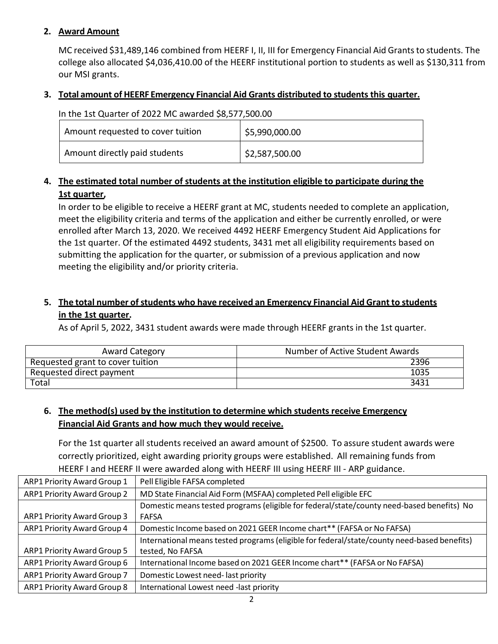## **2. Award Amount**

MC received \$31,489,146 combined from HEERF I, II, III for Emergency Financial Aid Grants to students. The college also allocated \$4,036,410.00 of the HEERF institutional portion to students as well as \$130,311 from our MSI grants.

## **3. Total amount of HEERF Emergency Financial Aid Grants distributed to students this quarter.**

### In the 1st Quarter of 2022 MC awarded \$8,577,500.00

| Amount requested to cover tuition | \$5,990,000.00 |
|-----------------------------------|----------------|
| Amount directly paid students     | \$2,587,500.00 |

# **4. The estimated total number of students at the institution eligible to participate during the 1st quarter,**

In order to be eligible to receive a HEERF grant at MC, students needed to complete an application, meet the eligibility criteria and terms of the application and either be currently enrolled, or were enrolled after March 13, 2020. We received 4492 HEERF Emergency Student Aid Applications for the 1st quarter. Of the estimated 4492 students, 3431 met all eligibility requirements based on submitting the application for the quarter, or submission of a previous application and now meeting the eligibility and/or priority criteria.

# **5. The total number ofstudents who have received an Emergency Financial Aid Grant to students in the 1st quarter.**

As of April 5, 2022, 3431 student awards were made through HEERF grants in the 1st quarter.

| Award Category                   | Number of Active Student Awards |
|----------------------------------|---------------------------------|
| Requested grant to cover tuition | 2396                            |
| Requested direct payment         | 1035                            |
| Total                            | 3431                            |

## **6. The method(s) used by the institution to determine which students receive Emergency Financial Aid Grants and how much they would receive.**

For the 1st quarter all students received an award amount of \$2500. To assure student awards were correctly prioritized, eight awarding priority groups were established. All remaining funds from HEERF I and HEERF II were awarded along with HEERF III using HEERF III - ARP guidance.

| ARP1 Priority Award Group 1 | Pell Eligible FAFSA completed                                                               |
|-----------------------------|---------------------------------------------------------------------------------------------|
| ARP1 Priority Award Group 2 | MD State Financial Aid Form (MSFAA) completed Pell eligible EFC                             |
|                             | Domestic means tested programs (eligible for federal/state/county need-based benefits) No   |
| ARP1 Priority Award Group 3 | <b>FAFSA</b>                                                                                |
| ARP1 Priority Award Group 4 | Domestic Income based on 2021 GEER Income chart** (FAFSA or No FAFSA)                       |
|                             | International means tested programs (eligible for federal/state/county need-based benefits) |
| ARP1 Priority Award Group 5 | tested, No FAFSA                                                                            |
| ARP1 Priority Award Group 6 | International Income based on 2021 GEER Income chart** (FAFSA or No FAFSA)                  |
| ARP1 Priority Award Group 7 | Domestic Lowest need-last priority                                                          |
| ARP1 Priority Award Group 8 | International Lowest need -last priority                                                    |